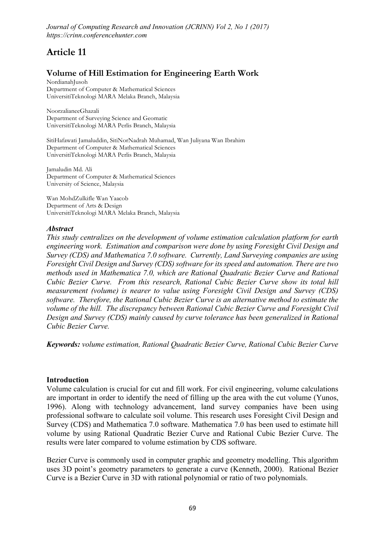# Article 11

## Volume of Hill Estimation for Engineering Earth Work

**NordianahJusoh Department of Computer & Mathematical Sciences UniversitiTeknologi MARA Melaka Branch, Malaysia**

**NoorzalianeeGhazali Department of Surveying Science and Geomatic UniversitiTeknologi MARA Perlis Branch, Malaysia**

**SitiHafawati Jamaluddin, SitiNorNadrah Muhamad, Wan Juliyana Wan Ibrahim Department of Computer & Mathematical Sciences UniversitiTeknologi MARA Perlis Branch, Malaysia**

**Jamaludin Md. Ali Department of Computer & Mathematical Sciences University of Science, Malaysia**

**Wan MohdZulkifle Wan Yaacob Department of Arts & Design UniversitiTeknologi MARA Melaka Branch, Malaysia**

## *Abstract*

*This study centralizes on the development of volume estimation calculation platform for earth engineering work. Estimation and comparison were done by using Foresight Civil Design and Survey (CDS) and Mathematica 7.0 software. Currently, Land Surveying companies are using Foresight Civil Design and Survey (CDS) software for its speed and automation. There are two methods used in Mathematica 7.0, which are Rational Quadratic Bezier Curve and Rational Cubic Bezier Curve. From this research, Rational Cubic Bezier Curve show its total hill measurement (volume) is nearer to value using Foresight Civil Design and Survey (CDS) software. Therefore, the Rational Cubic Bezier Curve is an alternative method to estimate the volume of the hill. The discrepancy between Rational Cubic Bezier Curve and Foresight Civil Design and Survey (CDS) mainly caused by curve tolerance has been generalized in Rational Cubic Bezier Curve.*

*Keywords: volume estimation, Rational Quadratic Bezier Curve, Rational Cubic Bezier Curve*

#### Introduction

Volume calculation is crucial for cut and fill work. For civil engineering, volume calculations are important in order to identify the need of filling up the area with the cut volume (Yunos, 1996). Along with technology advancement, land survey companies have been using professional software to calculate soil volume. This research uses Foresight Civil Design and Survey (CDS) and Mathematica 7.0 software. Mathematica 7.0 has been used to estimate hill volume by using Rational Quadratic Bezier Curve and Rational Cubic Bezier Curve. The results were later compared to volume estimation by CDS software.

Bezier Curve is commonly used in computer graphic and geometry modelling. This algorithm uses 3D point's geometry parameters to generate a curve (Kenneth, 2000). Rational Bezier Curve is a Bezier Curve in 3D with rational polynomial or ratio of two polynomials.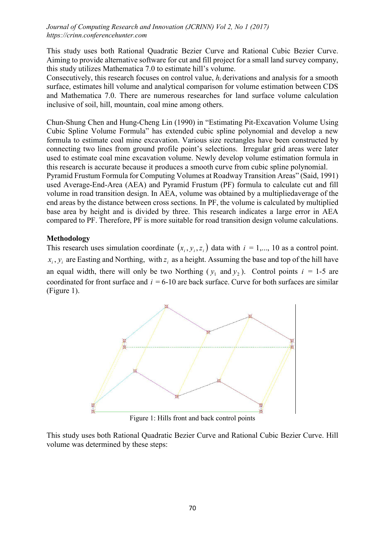This study uses both Rational Quadratic Bezier Curve and Rational Cubic Bezier Curve. Aiming to provide alternative software for cut and fill project for a small land survey company, this study utilizes Mathematica 7.0 to estimate hill's volume.

Consecutively, this research focuses on control value, *hi* derivations and analysis for a smooth surface, estimates hill volume and analytical comparison for volume estimation between CDS and Mathematica 7.0. There are numerous researches for land surface volume calculation inclusive of soil, hill, mountain, coal mine among others.

Chun-Shung Chen and Hung-Cheng Lin (1990) in "Estimating Pit-Excavation Volume Using Cubic Spline Volume Formula" has extended cubic spline polynomial and develop a new formula to estimate coal mine excavation. Various size rectangles have been constructed by connecting two lines from ground profile point's selections. Irregular grid areas were later used to estimate coal mine excavation volume. Newly develop volume estimation formula in this research is accurate because it produces a smooth curve from cubic spline polynomial.

Pyramid Frustum Formula for Computing Volumes at Roadway Transition Areas" (Said, 1991) used Average-End-Area (AEA) and Pyramid Frustum (PF) formula to calculate cut and fill volume in road transition design. In AEA, volume was obtained by a multipliedaverage of the end areas by the distance between cross sections. In PF, the volume is calculated by multiplied base area by height and is divided by three. This research indicates a large error in AEA compared to PF. Therefore, PF is more suitable for road transition design volume calculations.

## Methodology

This research uses simulation coordinate  $(x_i, y_i, z_i)$  data with  $i = 1,..., 10$  as a control point.  $x_i, y_i$  are Easting and Northing, with  $z_i$  as a height. Assuming the base and top of the hill have an equal width, there will only be two Northing  $(y_1$  and  $y_2$ ). Control points  $i = 1-5$  are coordinated for front surface and  $i = 6-10$  are back surface. Curve for both surfaces are similar (Figure 1).



Figure 1: Hills front and back control points

This study uses both Rational Quadratic Bezier Curve and Rational Cubic Bezier Curve. Hill volume was determined by these steps: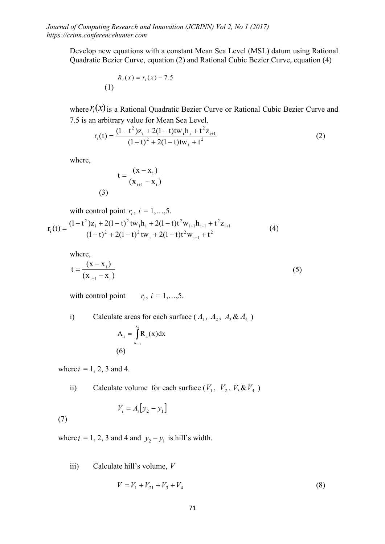Develop new equations with a constant Mean Sea Level (MSL) datum using Rational Quadratic Bezier Curve, equation (2) and Rational Cubic Bezier Curve, equation (4)

$$
R_i(x) = r_i(x) - 7.5
$$
 (1)

where  $r_i(x)$  is a Rational Quadratic Bezier Curve or Rational Cubic Bezier Curve and 7.5 is an arbitrary value for Mean Sea Level.

$$
r_{i}(t) = \frac{(1 - t^{2})z_{i} + 2(1 - t)tw_{i}h_{i} + t^{2}z_{i+1}}{(1 - t)^{2} + 2(1 - t)tw_{i} + t^{2}}
$$
\n(2)

where,

$$
t = \frac{(x - x_i)}{(x_{i+1} - x_i)}
$$

with control point  $r_i$ ,  $i = 1,...,5$ .

(3)

$$
r_{i}(t) = \frac{(1-t^{2})z_{i} + 2(1-t)^{2} \text{tw}_{i} \text{h}_{i} + 2(1-t)t^{2} \text{w}_{i+1} \text{h}_{i+1} + t^{2} z_{i+1}}{(1-t)^{2} + 2(1-t)^{2} \text{tw}_{i} + 2(1-t)t^{2} \text{w}_{i+1} + t^{2}}
$$
(4)

where,

$$
t = \frac{(x - x_i)}{(x_{i+1} - x_i)}
$$
(5)

with control point  $r_i$ ,  $i = 1,...,5$ .

i) Calculate areas for each surface  $(A_1, A_2, A_3 \& A_4)$ 

$$
A_i = \int_{x_{i-1}}^{x_i} R_i(x) dx
$$
  
(6)

where  $i = 1, 2, 3$  and 4.

ii) Calculate volume for each surface  $(V_1, V_2, V_3 \& V_4)$ 

$$
V_i = A_i \big[ y_2 - y_1 \big]
$$

(7)

where  $i = 1, 2, 3$  and 4 and  $y_2 - y_1$  is hill's width.

iii) Calculate hill's volume, *V*

$$
V = V_1 + V_{21} + V_3 + V_4 \tag{8}
$$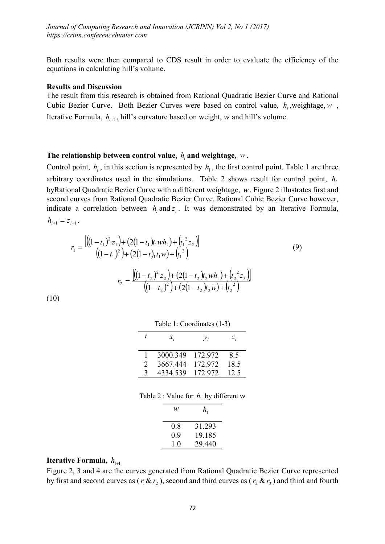Both results were then compared to CDS result in order to evaluate the efficiency of the equations in calculating hill's volume.

#### Results and Discussion

The result from this research is obtained from Rational Quadratic Bezier Curve and Rational Cubic Bezier Curve. Both Bezier Curves were based on control value,  $h_i$ , weightage,  $w$ , Iterative Formula,  $h_{i+1}$ , hill's curvature based on weight,  $w$  and hill's volume.

## The relationship between control value, *hi* and weightage, *w*.

Control point,  $h_i$ , in this section is represented by  $h_i$ , the first control point. Table 1 are three arbitrary coordinates used in the simulations. Table 2 shows result for control point, *hi* byRational Quadratic Bezier Curve with a different weightage, *w*. Figure 2 illustrates first and second curves from Rational Quadratic Bezier Curve. Rational Cubic Bezier Curve however, indicate a correlation between  $h_i$  and  $z_i$ . It was demonstrated by an Iterative Formula,  $h_{i+1} = z_{i+1}$ .

$$
r_1 = \frac{\left[ \left( (1 - t_1)^2 z_1 \right) + (2(1 - t_1) t_1 w h_1) + \left( t_1^2 z_2 \right) \right]}{\left( (1 - t_1)^2 \right) + (2(1 - t_1) t_1 w) + \left( t_1^2 \right)} \tag{9}
$$
\n
$$
r_2 = \frac{\left[ \left( (1 - t_2)^2 z_2 \right) + (2(1 - t_2) t_2 w h_1) + \left( t_2^2 z_3 \right) \right]}{\left( (1 - t_2)^2 \right) + (2(1 - t_2) t_2 w) + \left( t_2^2 \right)}
$$
\n
$$
10)
$$

(10)

| Table 1: Coordinates (1-3) |          |                 |       |  |  |  |
|----------------------------|----------|-----------------|-------|--|--|--|
| 1                          | $x_{i}$  | $\mathcal{V}_i$ | $Z_i$ |  |  |  |
|                            | 3000.349 | 172.972         | 8.5   |  |  |  |
| 2                          | 3667.444 | 172.972         | 18.5  |  |  |  |
| $\mathbf{c}$               | 4334.539 | 172.972         | 12.5  |  |  |  |

Table 2 : Value for  $h_1$  by different w

| w   | $h_{1}$ |  |
|-----|---------|--|
| 0.8 | 31.293  |  |
| 0.9 | 19.185  |  |
| 1.0 | 29.440  |  |

## **Iterative Formula,**  $h_{1+1}$

Figure 2, 3 and 4 are the curves generated from Rational Quadratic Bezier Curve represented by first and second curves as  $(r_1 \& r_2)$ , second and third curves as  $(r_2 \& r_3)$  and third and fourth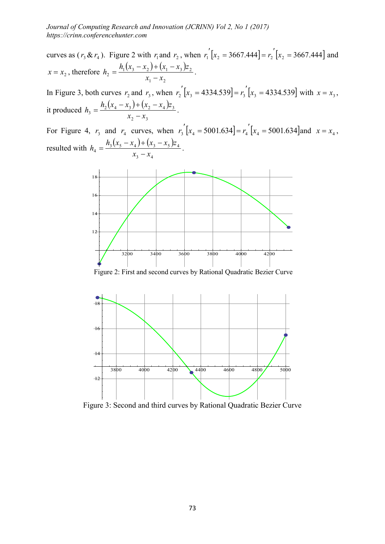curves as  $(r_3 \& r_4)$ . Figure 2 with  $r_1$  and  $r_2$ , when  $r_1$ <sup>'</sup> $[x_2 = 3667.444] = r_2$ <sup>'</sup> $[x_2 = 3667.444]$  and  $x = x_2$ , therefore  $h_2 = \frac{h_1(x_3 - x_2) + (x_1 - x_3)z_2}{h_1(x_3 - x_3)}$ 1  $\mathcal{N}_2$  $h_2 = \frac{h_1(x_3 - x_2) + (x_1 - x_3)z_2}{x_1 - x_2}.$ In Figure 3, both curves  $r_2$  and  $r_3$ , when  $r_2$   $[x_3 = 4334.539] = r_3$   $[x_3 = 4334.539]$  with  $x = x_3$ ,

it produced  $h_3 = \frac{h_2(x_4 - x_3) + (x_2 - x_4)}{h_3}$ 2  $\mathcal{X}_3$  $2(\lambda_4 \lambda_3)$   $(\lambda_2 \lambda_4)^2$  $h_3 = \frac{h_2(x_4 - x_3) + (x_2 - x_4)z_3}{x_2 - x_3}.$ 

For Figure 4,  $r_3$  and  $r_4$  curves, when  $r_3'(x_4 = 5001.634) = r_4'(x_4 = 5001.634)$  and  $x = x_4$ , resulted with  $h_4 = \frac{h_3(x_5 - x_4) + (x_3 - x_5)}{h_4}$ 3  $\mathcal{N}_4$  $3(\lambda_5 \lambda_4)$   $(\lambda_3 \lambda_5)$   $\mu_4$  $h_4 = \frac{h_3(x_5 - x_4) + (x_3 - x_5)z_4}{x_3 - x_4}.$ 



Figure 2: First and second curves by Rational Quadratic Bezier Curve



Figure 3: Second and third curves by Rational Quadratic Bezier Curve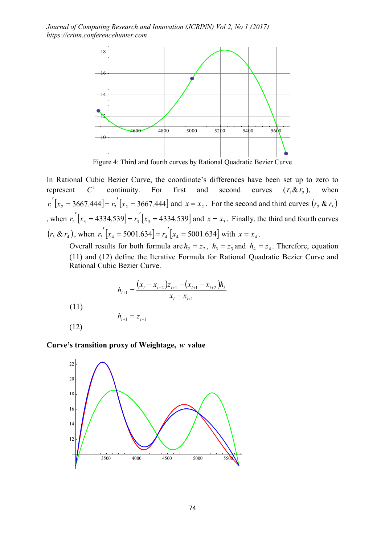

Figure 4: Third and fourth curves by Rational Quadratic Bezier Curve

In Rational Cubic Bezier Curve, the coordinate's differences have been set up to zero to represent  $C^1$  continuity. For first and second curves  $(r_1 \& r_2)$ , when  $r_1$ <sup>'</sup>[ $x_2$  = 3667.444] =  $r_2$ <sup>'</sup>[ $x_2$  = 3667.444] and  $x = x_2$ . For the second and third curves  $(r_2 \& r_3)$ , when  $r_2'(x_3 = 4334.539 = r_3'(x_3 = 4334.539)$  and  $x = x_3$ . Finally, the third and fourth curves  $(r_3 \& r_4)$ , when  $r_3$   $x_4$  = 5001.634] =  $r_4$   $x_4$  = 5001.634] with  $x = x_4$ .

Overall results for both formula are  $h_2 = z_2$ ,  $h_3 = z_3$  and  $h_4 = z_4$ . Therefore, equation (11) and (12) define the Iterative Formula for Rational Quadratic Bezier Curve and Rational Cubic Bezier Curve.

$$
h_{i+1} = \frac{(x_i - x_{i+2})z_{i+1} - (x_{i+1} - x_{i+2})h_i}{x_i - x_{i+1}}
$$

(11)

$$
(12)
$$

Curve's transition proxy of Weightage, *w* value

 $h_{i+1} = z_{i+1}$ 

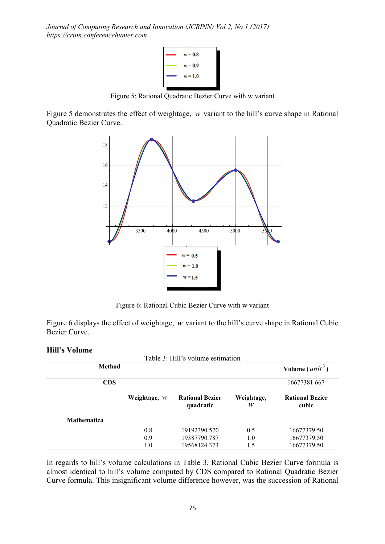

Figure 5: Rational Quadratic Bezier Curve with w variant

Figure 5 demonstrates the effect of weightage, *w* variant to the hill's curve shape in Rational Quadratic Bezier Curve.



Figure 6: Rational Cubic Bezier Curve with w variant

Figure 6 displays the effect of weightage, *w* variant to the hill's curve shape in Rational Cubic Bezier Curve.

## Hill's Volume

| Table 3: Hill's volume estimation |                |                                     |                 |                                 |  |  |
|-----------------------------------|----------------|-------------------------------------|-----------------|---------------------------------|--|--|
| <b>Method</b>                     |                |                                     |                 | Volume $(unit^3)$               |  |  |
| <b>CDS</b>                        |                |                                     |                 | 16677381.667                    |  |  |
|                                   | Weightage, $W$ | <b>Rational Bezier</b><br>quadratic | Weightage,<br>w | <b>Rational Bezier</b><br>cubic |  |  |
| <b>Mathematica</b>                |                |                                     |                 |                                 |  |  |
|                                   | 0.8            | 19192390.570                        | 0.5             | 16677379.50                     |  |  |
|                                   | 0.9            | 19387790.787                        | 1.0             | 16677379.50                     |  |  |
|                                   | 1.0            | 19568124.373                        | 1.5             | 16677379.50                     |  |  |

In regards to hill's volume calculations in Table 3, Rational Cubic Bezier Curve formula is almost identical to hill's volume computed by CDS compared to Rational Quadratic Bezier Curve formula. This insignificant volume difference however, was the succession of Rational